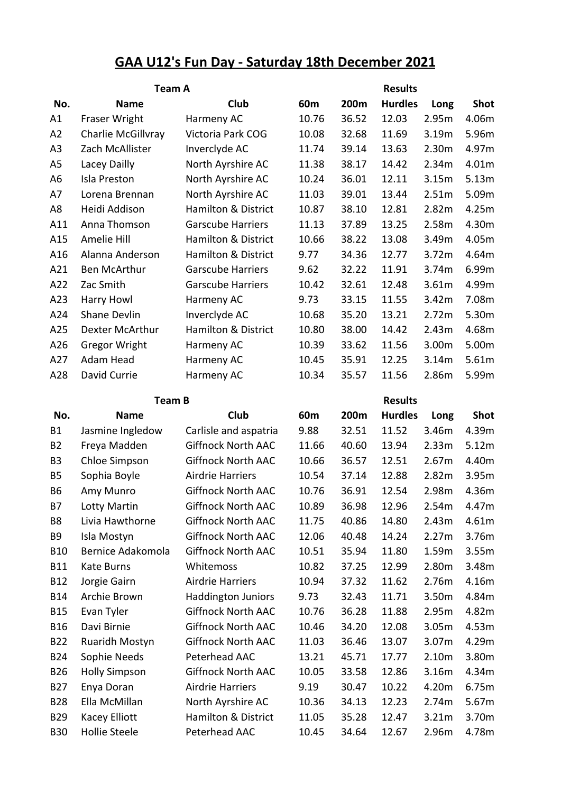## **GAA U12's Fun Day - Saturday 18th December 2021**

|                             | <b>Team A</b>                    |                                                        |                 | <b>Results</b> |                |                |                |  |  |
|-----------------------------|----------------------------------|--------------------------------------------------------|-----------------|----------------|----------------|----------------|----------------|--|--|
| No.                         | <b>Name</b>                      | Club                                                   | 60 <sub>m</sub> | 200m           | <b>Hurdles</b> | Long           | <b>Shot</b>    |  |  |
| A1                          | Fraser Wright                    | Harmeny AC                                             | 10.76           | 36.52          | 12.03          | 2.95m          | 4.06m          |  |  |
| A2                          | Charlie McGillvray               | Victoria Park COG                                      | 10.08           | 32.68          | 11.69          | 3.19m          | 5.96m          |  |  |
| A <sub>3</sub>              | Zach McAllister                  | Inverclyde AC                                          | 11.74           | 39.14          | 13.63          | 2.30m          | 4.97m          |  |  |
| A <sub>5</sub>              | Lacey Dailly                     | North Ayrshire AC                                      | 11.38           | 38.17          | 14.42          | 2.34m          | 4.01m          |  |  |
| A <sub>6</sub>              | Isla Preston                     | North Ayrshire AC                                      | 10.24           | 36.01          | 12.11          | 3.15m          | 5.13m          |  |  |
| A7                          | Lorena Brennan                   | North Ayrshire AC                                      | 11.03           | 39.01          | 13.44          | 2.51m          | 5.09m          |  |  |
| A <sub>8</sub>              | Heidi Addison                    | <b>Hamilton &amp; District</b>                         | 10.87           | 38.10          | 12.81          | 2.82m          | 4.25m          |  |  |
| A11                         | Anna Thomson                     | <b>Garscube Harriers</b>                               | 11.13           | 37.89          | 13.25          | 2.58m          | 4.30m          |  |  |
| A15                         | Amelie Hill                      | <b>Hamilton &amp; District</b>                         | 10.66           | 38.22          | 13.08          | 3.49m          | 4.05m          |  |  |
| A16                         | Alanna Anderson                  | <b>Hamilton &amp; District</b>                         | 9.77            | 34.36          | 12.77          | 3.72m          | 4.64m          |  |  |
| A21                         | <b>Ben McArthur</b>              | <b>Garscube Harriers</b>                               | 9.62            | 32.22          | 11.91          | 3.74m          | 6.99m          |  |  |
| A22                         | Zac Smith                        | <b>Garscube Harriers</b>                               | 10.42           | 32.61          | 12.48          | 3.61m          | 4.99m          |  |  |
| A23                         | Harry Howl                       | Harmeny AC                                             | 9.73            | 33.15          | 11.55          | 3.42m          | 7.08m          |  |  |
| A24                         | <b>Shane Devlin</b>              | Inverclyde AC                                          | 10.68           | 35.20          | 13.21          | 2.72m          | 5.30m          |  |  |
| A25                         | Dexter McArthur                  | <b>Hamilton &amp; District</b>                         | 10.80           | 38.00          | 14.42          | 2.43m          | 4.68m          |  |  |
| A26                         | <b>Gregor Wright</b>             | Harmeny AC                                             | 10.39           | 33.62          | 11.56          | 3.00m          | 5.00m          |  |  |
| A27                         | <b>Adam Head</b>                 | Harmeny AC                                             | 10.45           | 35.91          | 12.25          | 3.14m          | 5.61m          |  |  |
| A28                         | David Currie                     | Harmeny AC                                             | 10.34           | 35.57          | 11.56          | 2.86m          | 5.99m          |  |  |
|                             |                                  |                                                        |                 |                |                |                |                |  |  |
|                             | <b>Team B</b>                    |                                                        |                 |                | <b>Results</b> |                |                |  |  |
| No.                         | <b>Name</b>                      | Club                                                   | 60 <sub>m</sub> | 200m           | <b>Hurdles</b> | Long           | <b>Shot</b>    |  |  |
| <b>B1</b>                   | Jasmine Ingledow                 | Carlisle and aspatria                                  | 9.88            | 32.51          | 11.52          | 3.46m          | 4.39m          |  |  |
| <b>B2</b><br>B <sub>3</sub> | Freya Madden                     | <b>Giffnock North AAC</b><br><b>Giffnock North AAC</b> | 11.66<br>10.66  | 40.60<br>36.57 | 13.94<br>12.51 | 2.33m<br>2.67m | 5.12m<br>4.40m |  |  |
| <b>B5</b>                   | Chloe Simpson<br>Sophia Boyle    | <b>Airdrie Harriers</b>                                | 10.54           | 37.14          | 12.88          | 2.82m          | 3.95m          |  |  |
| <b>B6</b>                   | Amy Munro                        | <b>Giffnock North AAC</b>                              | 10.76           | 36.91          | 12.54          | 2.98m          | 4.36m          |  |  |
|                             |                                  |                                                        |                 |                |                | 2.54m          |                |  |  |
| <b>B7</b><br>B8             | Lotty Martin<br>Livia Hawthorne  | <b>Giffnock North AAC</b><br><b>Giffnock North AAC</b> | 10.89<br>11.75  | 36.98<br>40.86 | 12.96<br>14.80 | 2.43m          | 4.47m<br>4.61m |  |  |
| B <sub>9</sub>              |                                  | <b>Giffnock North AAC</b>                              | 12.06           | 40.48          |                | 2.27m          | 3.76m          |  |  |
| <b>B10</b>                  | Isla Mostyn<br>Bernice Adakomola | <b>Giffnock North AAC</b>                              | 10.51           | 35.94          | 14.24<br>11.80 | 1.59m          | 3.55m          |  |  |
| <b>B11</b>                  | Kate Burns                       | Whitemoss                                              | 10.82           | 37.25          | 12.99          | 2.80m          | 3.48m          |  |  |
| <b>B12</b>                  | Jorgie Gairn                     | <b>Airdrie Harriers</b>                                | 10.94           | 37.32          | 11.62          | 2.76m          | 4.16m          |  |  |
| <b>B14</b>                  | Archie Brown                     | <b>Haddington Juniors</b>                              | 9.73            | 32.43          | 11.71          | 3.50m          | 4.84m          |  |  |
| <b>B15</b>                  | Evan Tyler                       | <b>Giffnock North AAC</b>                              | 10.76           | 36.28          | 11.88          | 2.95m          | 4.82m          |  |  |
| <b>B16</b>                  | Davi Birnie                      | <b>Giffnock North AAC</b>                              | 10.46           | 34.20          | 12.08          | 3.05m          | 4.53m          |  |  |
| <b>B22</b>                  | Ruaridh Mostyn                   | <b>Giffnock North AAC</b>                              | 11.03           | 36.46          | 13.07          | 3.07m          | 4.29m          |  |  |
| <b>B24</b>                  | Sophie Needs                     | Peterhead AAC                                          | 13.21           | 45.71          | 17.77          | 2.10m          | 3.80m          |  |  |
| <b>B26</b>                  | <b>Holly Simpson</b>             | <b>Giffnock North AAC</b>                              | 10.05           | 33.58          | 12.86          | 3.16m          | 4.34m          |  |  |
| <b>B27</b>                  | Enya Doran                       | <b>Airdrie Harriers</b>                                | 9.19            | 30.47          | 10.22          | 4.20m          | 6.75m          |  |  |
| <b>B28</b>                  | Ella McMillan                    | North Ayrshire AC                                      | 10.36           | 34.13          | 12.23          | 2.74m          | 5.67m          |  |  |
| <b>B29</b>                  | <b>Kacey Elliott</b>             | Hamilton & District                                    | 11.05           | 35.28          | 12.47          | 3.21m          | 3.70m          |  |  |
| <b>B30</b>                  | Hollie Steele                    | Peterhead AAC                                          | 10.45           | 34.64          | 12.67          | 2.96m          | 4.78m          |  |  |
|                             |                                  |                                                        |                 |                |                |                |                |  |  |